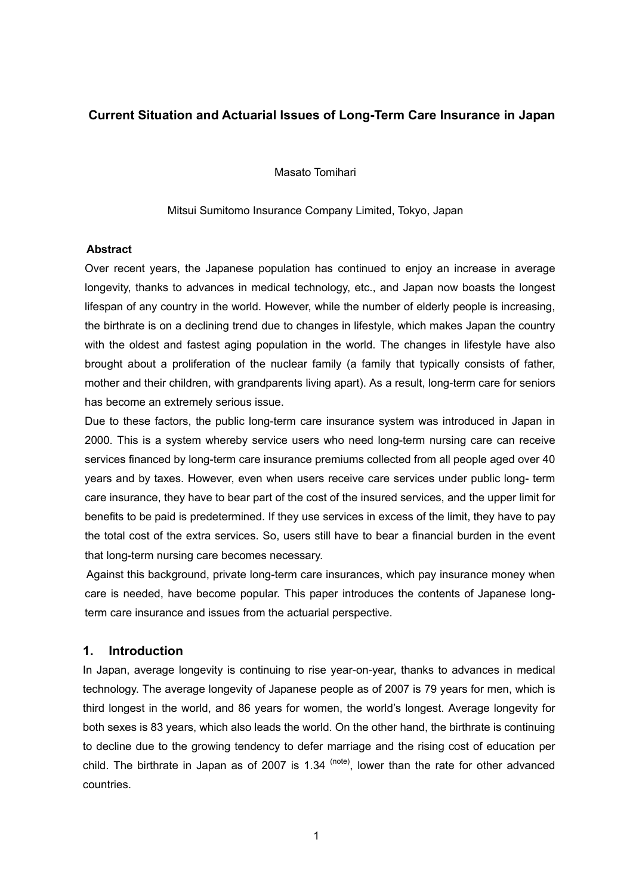## **Current Situation and Actuarial Issues of Long-Term Care Insurance in Japan**

Masato Tomihari

Mitsui Sumitomo Insurance Company Limited, Tokyo, Japan

#### **Abstract**

Over recent years, the Japanese population has continued to enjoy an increase in average longevity, thanks to advances in medical technology, etc., and Japan now boasts the longest lifespan of any country in the world. However, while the number of elderly people is increasing, the birthrate is on a declining trend due to changes in lifestyle, which makes Japan the country with the oldest and fastest aging population in the world. The changes in lifestyle have also brought about a proliferation of the nuclear family (a family that typically consists of father, mother and their children, with grandparents living apart). As a result, long-term care for seniors has become an extremely serious issue.

Due to these factors, the public long-term care insurance system was introduced in Japan in 2000. This is a system whereby service users who need long-term nursing care can receive services financed by long-term care insurance premiums collected from all people aged over 40 years and by taxes. However, even when users receive care services under public long- term care insurance, they have to bear part of the cost of the insured services, and the upper limit for benefits to be paid is predetermined. If they use services in excess of the limit, they have to pay the total cost of the extra services. So, users still have to bear a financial burden in the event that long-term nursing care becomes necessary.

Against this background, private long-term care insurances, which pay insurance money when care is needed, have become popular. This paper introduces the contents of Japanese longterm care insurance and issues from the actuarial perspective.

### **1. Introduction**

In Japan, average longevity is continuing to rise year-on-year, thanks to advances in medical technology. The average longevity of Japanese people as of 2007 is 79 years for men, which is third longest in the world, and 86 years for women, the world's longest. Average longevity for both sexes is 83 years, which also leads the world. On the other hand, the birthrate is continuing to decline due to the growing tendency to defer marriage and the rising cost of education per child. The birthrate in Japan as of 2007 is 1.34  $(note)$ , lower than the rate for other advanced countries.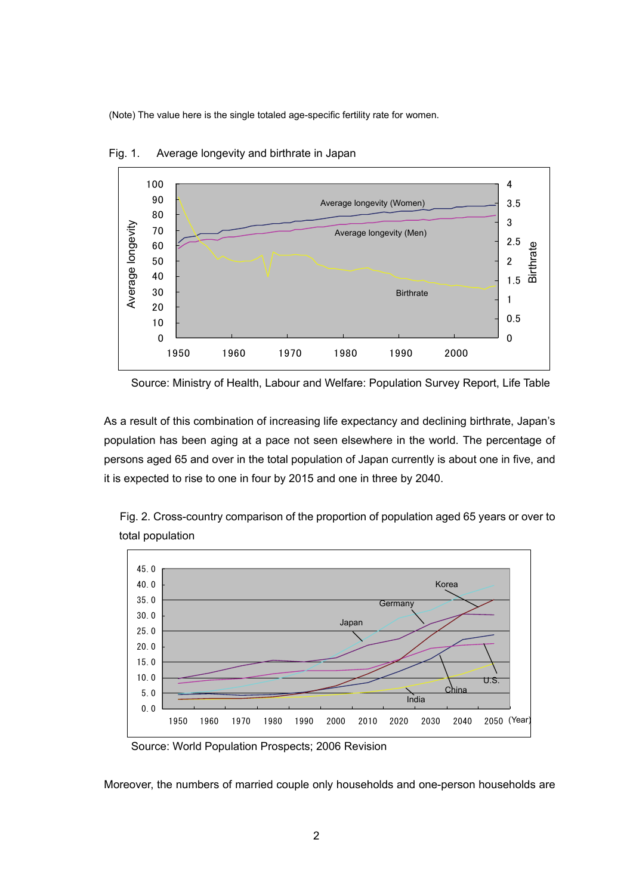(Note) The value here is the single totaled age-specific fertility rate for women.



Fig. 1. Average longevity and birthrate in Japan

As a result of this combination of increasing life expectancy and declining birthrate, Japan's population has been aging at a pace not seen elsewhere in the world. The percentage of persons aged 65 and over in the total population of Japan currently is about one in five, and it is expected to rise to one in four by 2015 and one in three by 2040.



Fig. 2. Cross-country comparison of the proportion of population aged 65 years or over to total population

Source: World Population Prospects; 2006 Revision

Moreover, the numbers of married couple only households and one-person households are

Source: Ministry of Health, Labour and Welfare: Population Survey Report, Life Table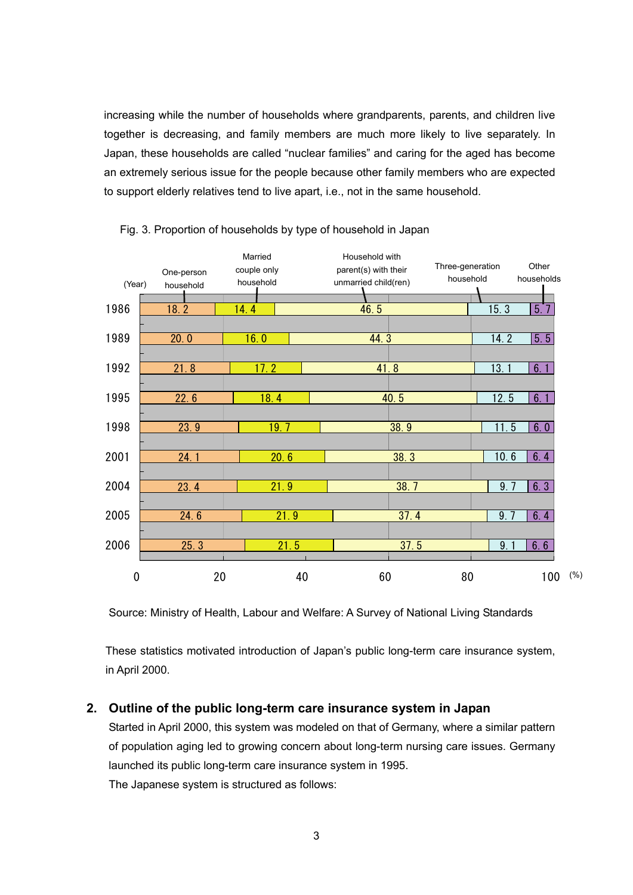increasing while the number of households where grandparents, parents, and children live together is decreasing, and family members are much more likely to live separately. In Japan, these households are called "nuclear families" and caring for the aged has become an extremely serious issue for the people because other family members who are expected to support elderly relatives tend to live apart, i.e., not in the same household.





Source: Ministry of Health, Labour and Welfare: A Survey of National Living Standards

These statistics motivated introduction of Japan's public long-term care insurance system, in April 2000.

## **2. Outline of the public long-term care insurance system in Japan**

Started in April 2000, this system was modeled on that of Germany, where a similar pattern of population aging led to growing concern about long-term nursing care issues. Germany launched its public long-term care insurance system in 1995. The Japanese system is structured as follows: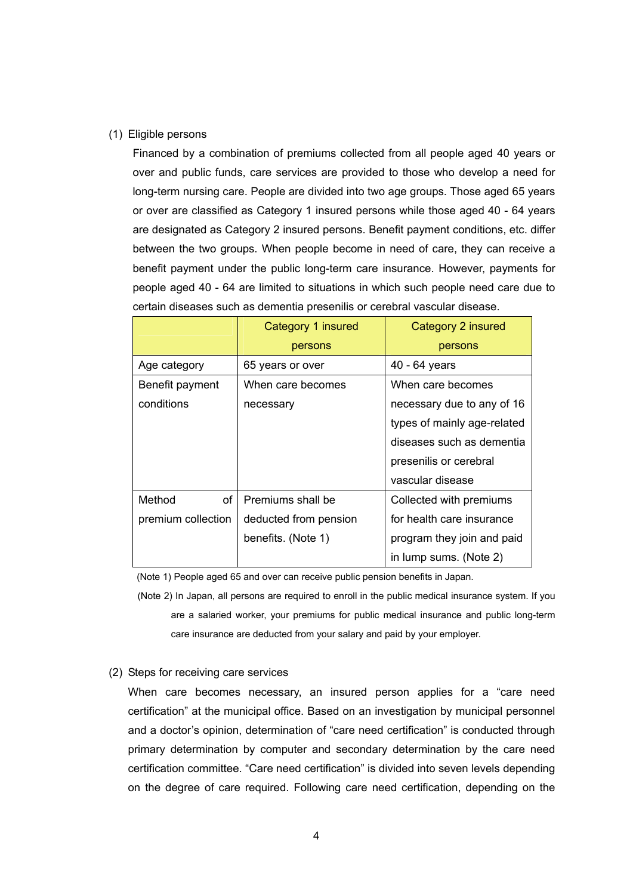#### (1) Eligible persons

Financed by a combination of premiums collected from all people aged 40 years or over and public funds, care services are provided to those who develop a need for long-term nursing care. People are divided into two age groups. Those aged 65 years or over are classified as Category 1 insured persons while those aged 40 - 64 years are designated as Category 2 insured persons. Benefit payment conditions, etc. differ between the two groups. When people become in need of care, they can receive a benefit payment under the public long-term care insurance. However, payments for people aged 40 - 64 are limited to situations in which such people need care due to certain diseases such as dementia presenilis or cerebral vascular disease.

|                    | Category 1 insured    | Category 2 insured          |  |  |  |
|--------------------|-----------------------|-----------------------------|--|--|--|
|                    | persons               | persons                     |  |  |  |
| Age category       | 65 years or over      | 40 - 64 years               |  |  |  |
| Benefit payment    | When care becomes     | When care becomes           |  |  |  |
| conditions         | necessary             | necessary due to any of 16  |  |  |  |
|                    |                       | types of mainly age-related |  |  |  |
|                    |                       | diseases such as dementia   |  |  |  |
|                    |                       | presenilis or cerebral      |  |  |  |
|                    |                       | vascular disease            |  |  |  |
| of<br>Method       | Premiums shall be     | Collected with premiums     |  |  |  |
| premium collection | deducted from pension | for health care insurance   |  |  |  |
|                    | benefits. (Note 1)    | program they join and paid  |  |  |  |
|                    |                       | in lump sums. (Note 2)      |  |  |  |

(Note 1) People aged 65 and over can receive public pension benefits in Japan.

 (Note 2) In Japan, all persons are required to enroll in the public medical insurance system. If you are a salaried worker, your premiums for public medical insurance and public long-term care insurance are deducted from your salary and paid by your employer.

#### (2) Steps for receiving care services

When care becomes necessary, an insured person applies for a "care need certification" at the municipal office. Based on an investigation by municipal personnel and a doctor's opinion, determination of "care need certification" is conducted through primary determination by computer and secondary determination by the care need certification committee. "Care need certification" is divided into seven levels depending on the degree of care required. Following care need certification, depending on the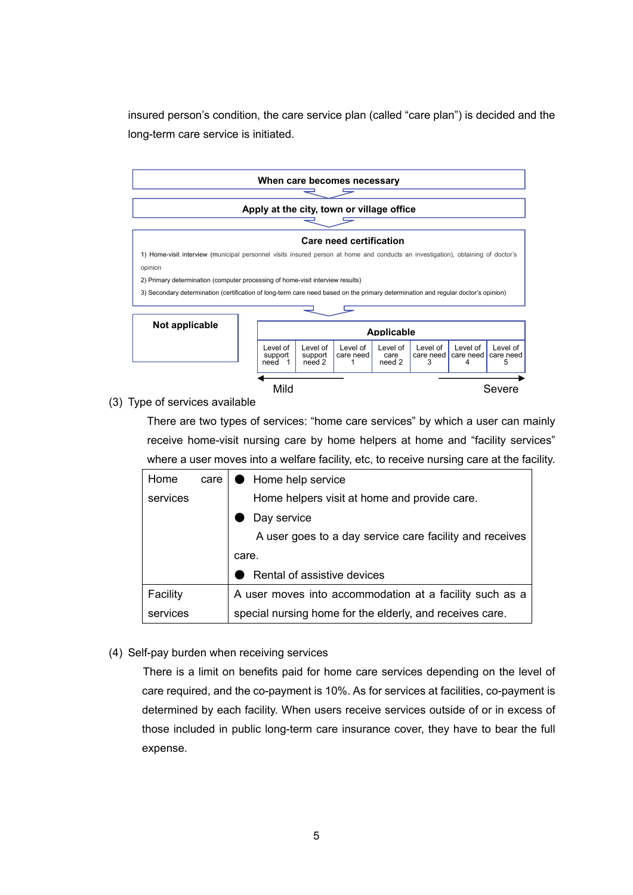insured person's condition, the care service plan (called "care plan") is decided and the long-term care service is initiated.



(3) Type of services available

There are two types of services: "home care services" by which a user can mainly receive home-visit nursing care by home helpers at home and "facility services" where a user moves into a welfare facility, etc, to receive nursing care at the facility.

| Home     | care | ● Home help service                                      |  |  |  |  |
|----------|------|----------------------------------------------------------|--|--|--|--|
| services |      | Home helpers visit at home and provide care.             |  |  |  |  |
|          |      | Day service                                              |  |  |  |  |
|          |      | A user goes to a day service care facility and receives  |  |  |  |  |
|          |      | care.                                                    |  |  |  |  |
|          |      | Rental of assistive devices                              |  |  |  |  |
| Facility |      | A user moves into accommodation at a facility such as a  |  |  |  |  |
| services |      | special nursing home for the elderly, and receives care. |  |  |  |  |

(4) Self-pay burden when receiving services

There is a limit on benefits paid for home care services depending on the level of care required, and the co-payment is 10%. As for services at facilities, co-payment is determined by each facility. When users receive services outside of or in excess of those included in public long-term care insurance cover, they have to bear the full expense.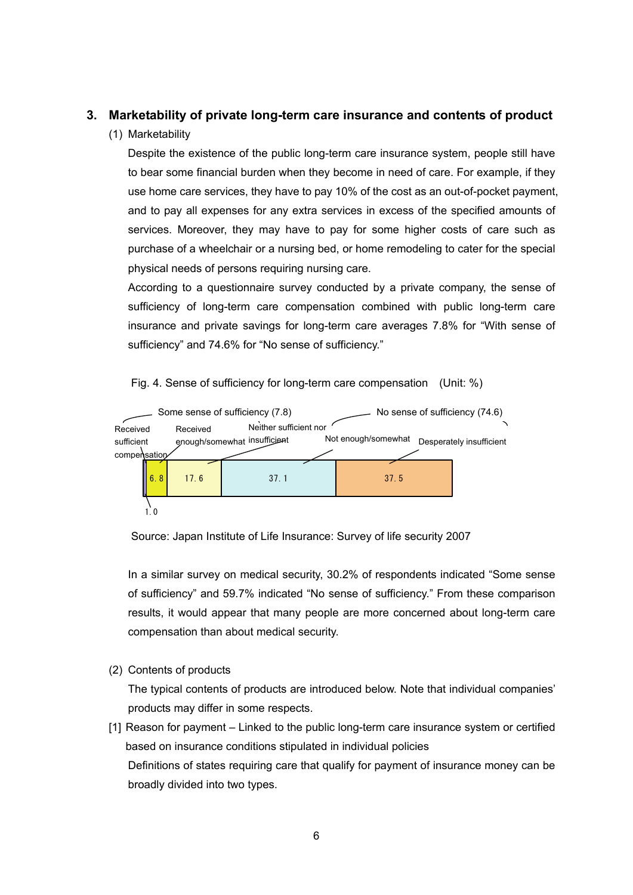## **3. Marketability of private long-term care insurance and contents of product**

### (1) Marketability

Despite the existence of the public long-term care insurance system, people still have to bear some financial burden when they become in need of care. For example, if they use home care services, they have to pay 10% of the cost as an out-of-pocket payment, and to pay all expenses for any extra services in excess of the specified amounts of services. Moreover, they may have to pay for some higher costs of care such as purchase of a wheelchair or a nursing bed, or home remodeling to cater for the special physical needs of persons requiring nursing care.

According to a questionnaire survey conducted by a private company, the sense of sufficiency of long-term care compensation combined with public long-term care insurance and private savings for long-term care averages 7.8% for "With sense of sufficiency" and 74.6% for "No sense of sufficiency."

Fig. 4. Sense of sufficiency for long-term care compensation (Unit: %)



Source: Japan Institute of Life Insurance: Survey of life security 2007

In a similar survey on medical security, 30.2% of respondents indicated "Some sense of sufficiency" and 59.7% indicated "No sense of sufficiency." From these comparison results, it would appear that many people are more concerned about long-term care compensation than about medical security.

(2) Contents of products

The typical contents of products are introduced below. Note that individual companies' products may differ in some respects.

[1] Reason for payment – Linked to the public long-term care insurance system or certified based on insurance conditions stipulated in individual policies Definitions of states requiring care that qualify for payment of insurance money can be broadly divided into two types.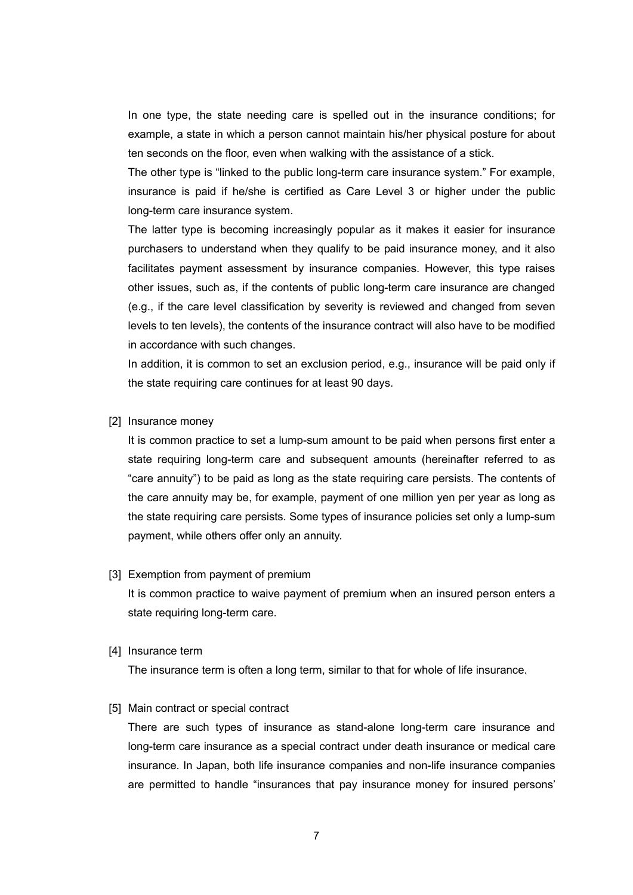In one type, the state needing care is spelled out in the insurance conditions; for example, a state in which a person cannot maintain his/her physical posture for about ten seconds on the floor, even when walking with the assistance of a stick.

The other type is "linked to the public long-term care insurance system." For example, insurance is paid if he/she is certified as Care Level 3 or higher under the public long-term care insurance system.

The latter type is becoming increasingly popular as it makes it easier for insurance purchasers to understand when they qualify to be paid insurance money, and it also facilitates payment assessment by insurance companies. However, this type raises other issues, such as, if the contents of public long-term care insurance are changed (e.g., if the care level classification by severity is reviewed and changed from seven levels to ten levels), the contents of the insurance contract will also have to be modified in accordance with such changes.

In addition, it is common to set an exclusion period, e.g., insurance will be paid only if the state requiring care continues for at least 90 days.

[2] Insurance money

It is common practice to set a lump-sum amount to be paid when persons first enter a state requiring long-term care and subsequent amounts (hereinafter referred to as "care annuity") to be paid as long as the state requiring care persists. The contents of the care annuity may be, for example, payment of one million yen per year as long as the state requiring care persists. Some types of insurance policies set only a lump-sum payment, while others offer only an annuity.

#### [3] Exemption from payment of premium

It is common practice to waive payment of premium when an insured person enters a state requiring long-term care.

[4] Insurance term

The insurance term is often a long term, similar to that for whole of life insurance.

#### [5] Main contract or special contract

There are such types of insurance as stand-alone long-term care insurance and long-term care insurance as a special contract under death insurance or medical care insurance. In Japan, both life insurance companies and non-life insurance companies are permitted to handle "insurances that pay insurance money for insured persons'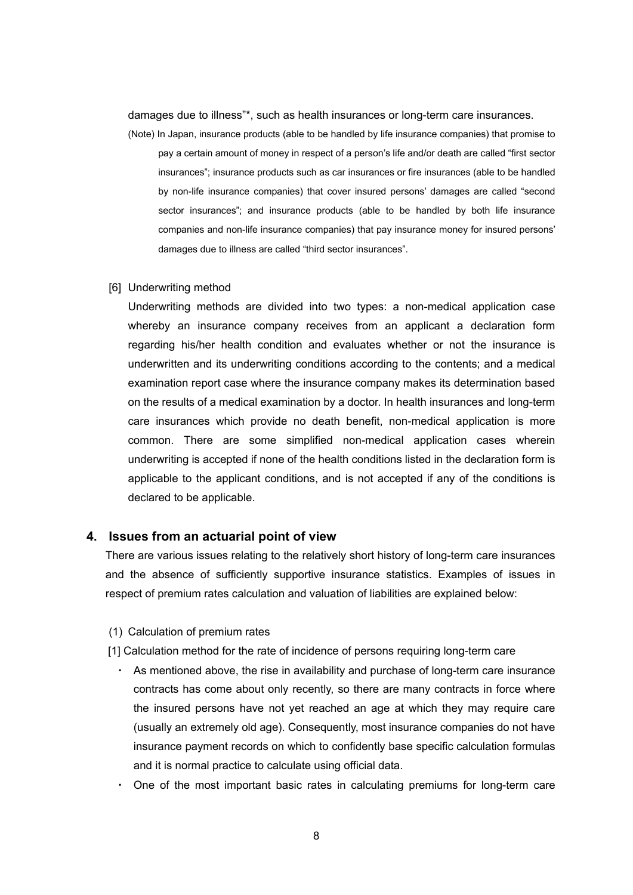damages due to illness"\*, such as health insurances or long-term care insurances.

(Note) In Japan, insurance products (able to be handled by life insurance companies) that promise to pay a certain amount of money in respect of a person's life and/or death are called "first sector insurances"; insurance products such as car insurances or fire insurances (able to be handled by non-life insurance companies) that cover insured persons' damages are called "second sector insurances"; and insurance products (able to be handled by both life insurance companies and non-life insurance companies) that pay insurance money for insured persons' damages due to illness are called "third sector insurances".

#### [6] Underwriting method

Underwriting methods are divided into two types: a non-medical application case whereby an insurance company receives from an applicant a declaration form regarding his/her health condition and evaluates whether or not the insurance is underwritten and its underwriting conditions according to the contents; and a medical examination report case where the insurance company makes its determination based on the results of a medical examination by a doctor. In health insurances and long-term care insurances which provide no death benefit, non-medical application is more common. There are some simplified non-medical application cases wherein underwriting is accepted if none of the health conditions listed in the declaration form is applicable to the applicant conditions, and is not accepted if any of the conditions is declared to be applicable.

#### **4. Issues from an actuarial point of view**

There are various issues relating to the relatively short history of long-term care insurances and the absence of sufficiently supportive insurance statistics. Examples of issues in respect of premium rates calculation and valuation of liabilities are explained below:

- (1) Calculation of premium rates
- [1] Calculation method for the rate of incidence of persons requiring long-term care
	- ・ As mentioned above, the rise in availability and purchase of long-term care insurance contracts has come about only recently, so there are many contracts in force where the insured persons have not yet reached an age at which they may require care (usually an extremely old age). Consequently, most insurance companies do not have insurance payment records on which to confidently base specific calculation formulas and it is normal practice to calculate using official data.
	- One of the most important basic rates in calculating premiums for long-term care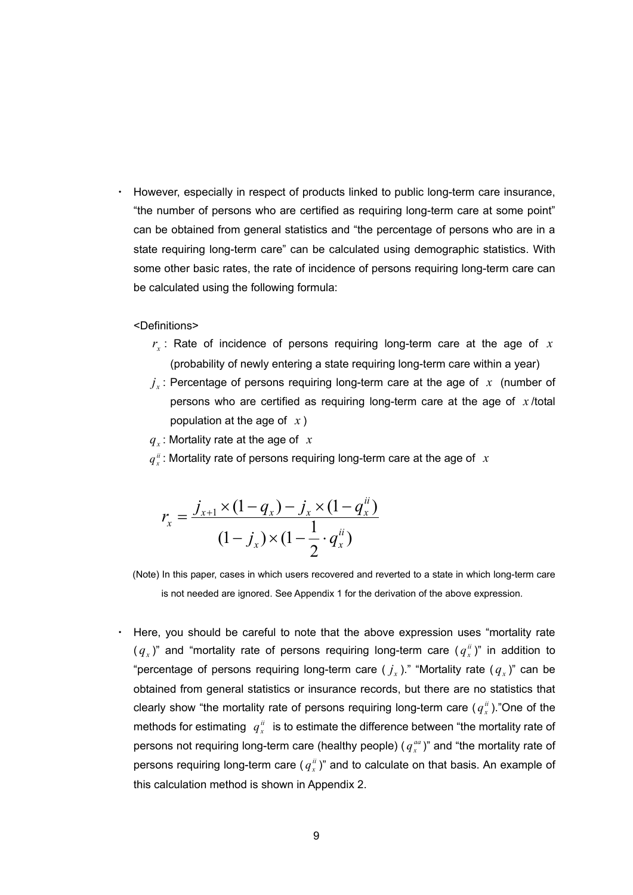However, especially in respect of products linked to public long-term care insurance, "the number of persons who are certified as requiring long-term care at some point" can be obtained from general statistics and "the percentage of persons who are in a state requiring long-term care" can be calculated using demographic statistics. With some other basic rates, the rate of incidence of persons requiring long-term care can be calculated using the following formula:

<Definitions>

- $r_r$ : Rate of incidence of persons requiring long-term care at the age of  $x$ (probability of newly entering a state requiring long-term care within a year)
- $j_x$ : Percentage of persons requiring long-term care at the age of x (number of persons who are certified as requiring long-term care at the age of *x* /total population at the age of *x* )

: Mortality rate at the age of *qx x*

 $q_x^{\ddot{u}}$ : Mortality rate of persons requiring long-term care at the age of  $\dot{x}$ 

$$
r_x = \frac{j_{x+1} \times (1 - q_x) - j_x \times (1 - q_x^{ii})}{(1 - j_x) \times (1 - \frac{1}{2} \cdot q_x^{ii})}
$$

(Note) In this paper, cases in which users recovered and reverted to a state in which long-term care is not needed are ignored. See Appendix 1 for the derivation of the above expression.

Here, you should be careful to note that the above expression uses "mortality rate  $(q_x)$ " and "mortality rate of persons requiring long-term care  $(q_x^i)$ " in addition to "percentage of persons requiring long-term care  $(j_x)$ ." "Mortality rate  $(q_x)$ " can be obtained from general statistics or insurance records, but there are no statistics that clearly show "the mortality rate of persons requiring long-term care  $(q_x^i)$ ."One of the methods for estimating  $q_x^{ii}$  is to estimate the difference between "the mortality rate of persons not requiring long-term care (healthy people) ( $q_x^{aa}$ )" and "the mortality rate of persons requiring long-term care  $(q^{\mu}_{x})^n$  and to calculate on that basis. An example of this calculation method is shown in Appendix 2.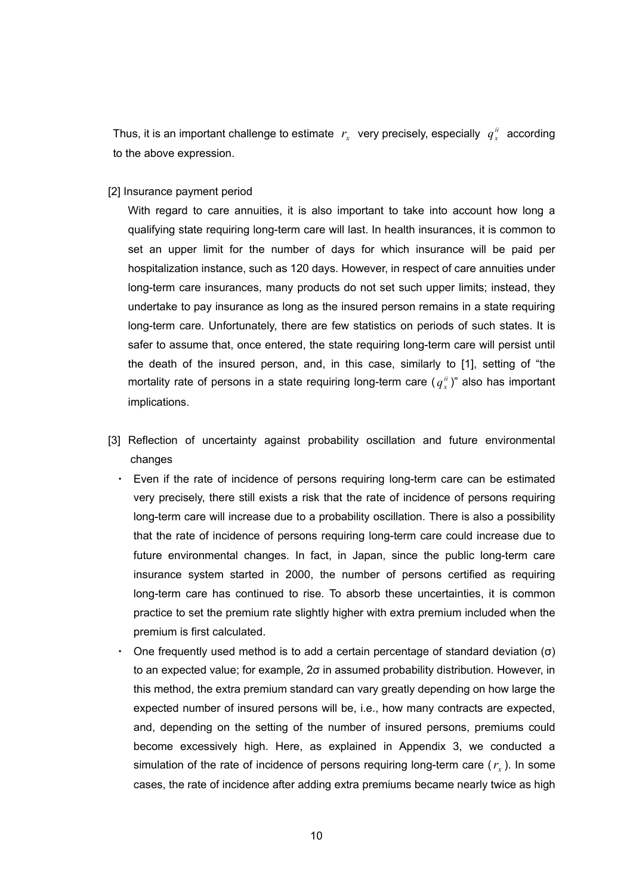Thus, it is an important challenge to estimate  $r_x$  very precisely, especially  $q_x^{ii}$  according to the above expression.

[2] Insurance payment period

With regard to care annuities, it is also important to take into account how long a qualifying state requiring long-term care will last. In health insurances, it is common to set an upper limit for the number of days for which insurance will be paid per hospitalization instance, such as 120 days. However, in respect of care annuities under long-term care insurances, many products do not set such upper limits; instead, they undertake to pay insurance as long as the insured person remains in a state requiring long-term care. Unfortunately, there are few statistics on periods of such states. It is safer to assume that, once entered, the state requiring long-term care will persist until the death of the insured person, and, in this case, similarly to [1], setting of "the mortality rate of persons in a state requiring long-term care  $(q_x^{\mu})^{\nu}$  also has important implications.

- [3] Reflection of uncertainty against probability oscillation and future environmental changes
	- ・ Even if the rate of incidence of persons requiring long-term care can be estimated very precisely, there still exists a risk that the rate of incidence of persons requiring long-term care will increase due to a probability oscillation. There is also a possibility that the rate of incidence of persons requiring long-term care could increase due to future environmental changes. In fact, in Japan, since the public long-term care insurance system started in 2000, the number of persons certified as requiring long-term care has continued to rise. To absorb these uncertainties, it is common practice to set the premium rate slightly higher with extra premium included when the premium is first calculated.
	- One frequently used method is to add a certain percentage of standard deviation (σ) to an expected value; for example, 2σ in assumed probability distribution. However, in this method, the extra premium standard can vary greatly depending on how large the expected number of insured persons will be, i.e., how many contracts are expected, and, depending on the setting of the number of insured persons, premiums could become excessively high. Here, as explained in Appendix 3, we conducted a simulation of the rate of incidence of persons requiring long-term care  $(r<sub>r</sub>)$ . In some cases, the rate of incidence after adding extra premiums became nearly twice as high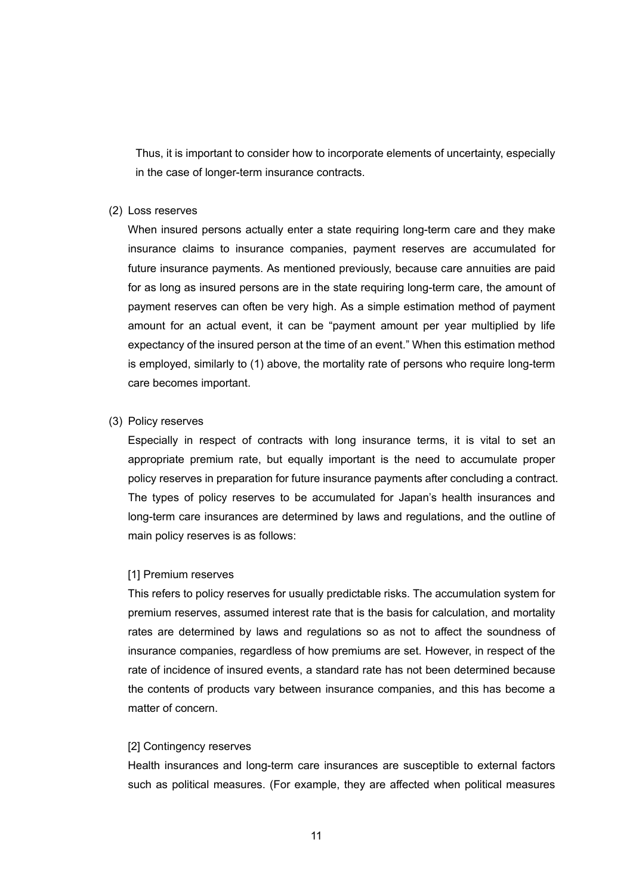Thus, it is important to consider how to incorporate elements of uncertainty, especially in the case of longer-term insurance contracts.

#### (2) Loss reserves

When insured persons actually enter a state requiring long-term care and they make insurance claims to insurance companies, payment reserves are accumulated for future insurance payments. As mentioned previously, because care annuities are paid for as long as insured persons are in the state requiring long-term care, the amount of payment reserves can often be very high. As a simple estimation method of payment amount for an actual event, it can be "payment amount per year multiplied by life expectancy of the insured person at the time of an event." When this estimation method is employed, similarly to (1) above, the mortality rate of persons who require long-term care becomes important.

#### (3) Policy reserves

Especially in respect of contracts with long insurance terms, it is vital to set an appropriate premium rate, but equally important is the need to accumulate proper policy reserves in preparation for future insurance payments after concluding a contract. The types of policy reserves to be accumulated for Japan's health insurances and long-term care insurances are determined by laws and regulations, and the outline of main policy reserves is as follows:

#### [1] Premium reserves

This refers to policy reserves for usually predictable risks. The accumulation system for premium reserves, assumed interest rate that is the basis for calculation, and mortality rates are determined by laws and regulations so as not to affect the soundness of insurance companies, regardless of how premiums are set. However, in respect of the rate of incidence of insured events, a standard rate has not been determined because the contents of products vary between insurance companies, and this has become a matter of concern.

#### [2] Contingency reserves

Health insurances and long-term care insurances are susceptible to external factors such as political measures. (For example, they are affected when political measures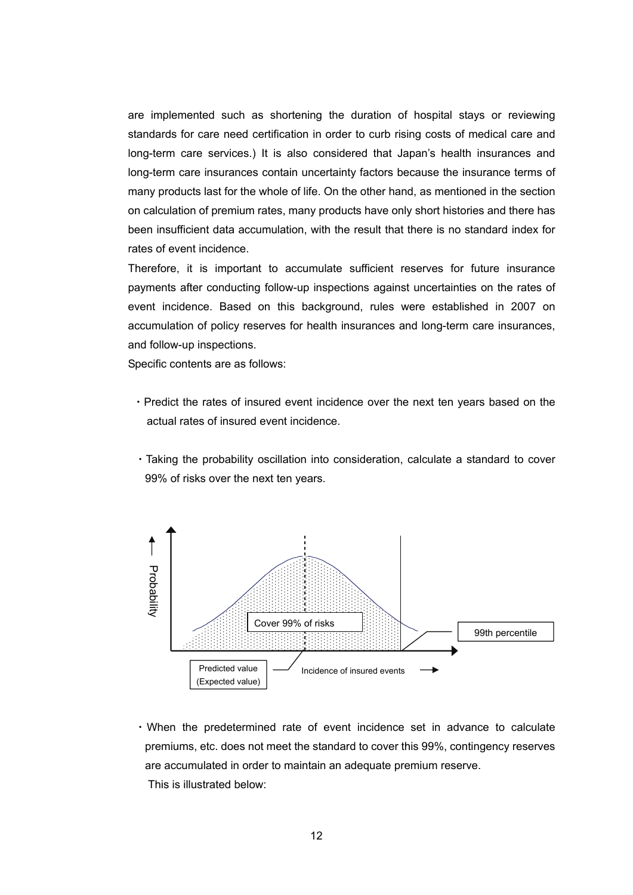are implemented such as shortening the duration of hospital stays or reviewing standards for care need certification in order to curb rising costs of medical care and long-term care services.) It is also considered that Japan's health insurances and long-term care insurances contain uncertainty factors because the insurance terms of many products last for the whole of life. On the other hand, as mentioned in the section on calculation of premium rates, many products have only short histories and there has been insufficient data accumulation, with the result that there is no standard index for rates of event incidence.

Therefore, it is important to accumulate sufficient reserves for future insurance payments after conducting follow-up inspections against uncertainties on the rates of event incidence. Based on this background, rules were established in 2007 on accumulation of policy reserves for health insurances and long-term care insurances, and follow-up inspections.

Specific contents are as follows:

- ・Predict the rates of insured event incidence over the next ten years based on the actual rates of insured event incidence.
- ・Taking the probability oscillation into consideration, calculate a standard to cover 99% of risks over the next ten years.



・When the predetermined rate of event incidence set in advance to calculate premiums, etc. does not meet the standard to cover this 99%, contingency reserves are accumulated in order to maintain an adequate premium reserve. This is illustrated below: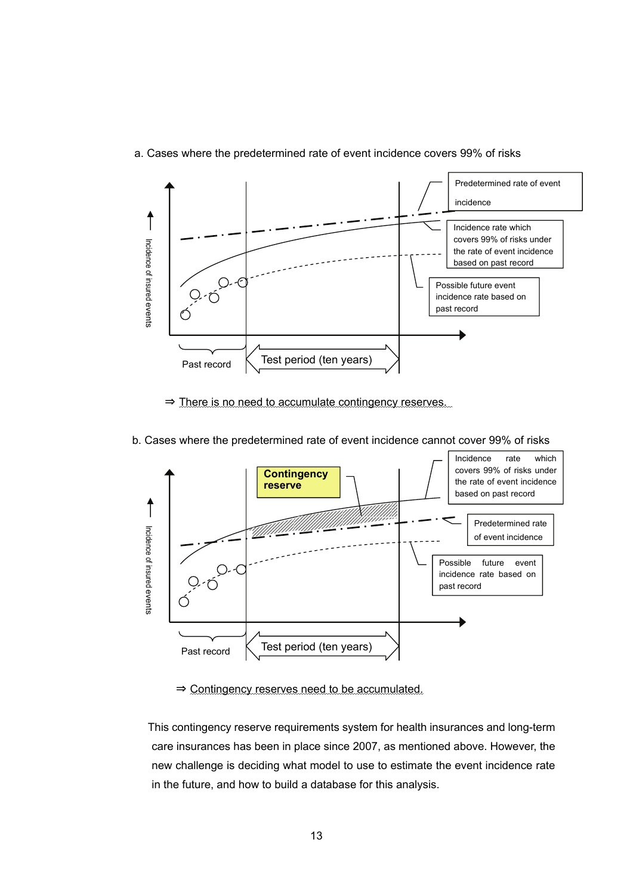

### a. Cases where the predetermined rate of event incidence covers 99% of risks

⇒ There is no need to accumulate contingency reserves.



b. Cases where the predetermined rate of event incidence cannot cover 99% of risks

⇒ Contingency reserves need to be accumulated.

 This contingency reserve requirements system for health insurances and long-term care insurances has been in place since 2007, as mentioned above. However, the new challenge is deciding what model to use to estimate the event incidence rate in the future, and how to build a database for this analysis.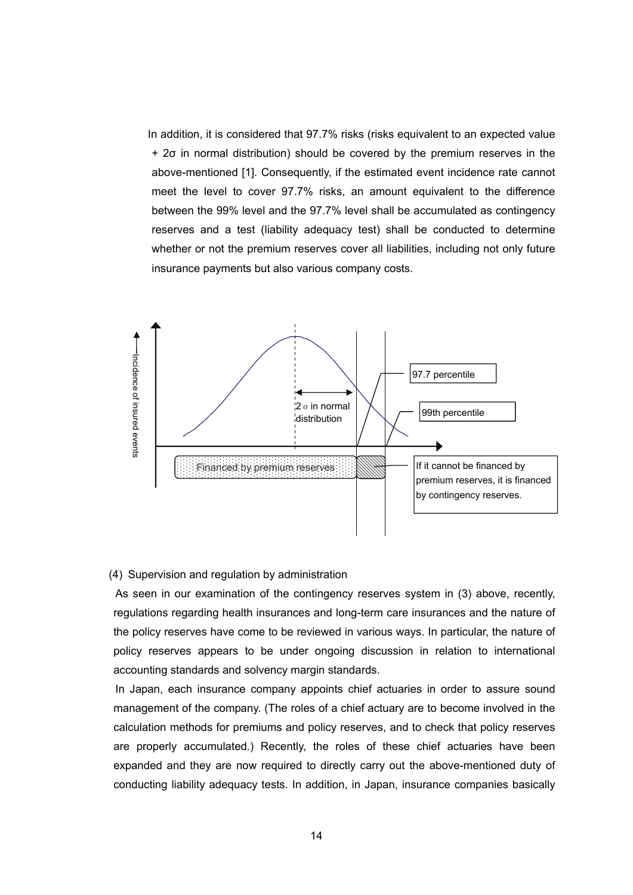In addition, it is considered that 97.7% risks (risks equivalent to an expected value + 2σ in normal distribution) should be covered by the premium reserves in the above-mentioned [1]. Consequently, if the estimated event incidence rate cannot meet the level to cover 97.7% risks, an amount equivalent to the difference between the 99% level and the 97.7% level shall be accumulated as contingency reserves and a test (liability adequacy test) shall be conducted to determine whether or not the premium reserves cover all liabilities, including not only future insurance payments but also various company costs.



#### (4) Supervision and regulation by administration

 As seen in our examination of the contingency reserves system in (3) above, recently, regulations regarding health insurances and long-term care insurances and the nature of the policy reserves have come to be reviewed in various ways. In particular, the nature of policy reserves appears to be under ongoing discussion in relation to international accounting standards and solvency margin standards.

 In Japan, each insurance company appoints chief actuaries in order to assure sound management of the company. (The roles of a chief actuary are to become involved in the calculation methods for premiums and policy reserves, and to check that policy reserves are properly accumulated.) Recently, the roles of these chief actuaries have been expanded and they are now required to directly carry out the above-mentioned duty of conducting liability adequacy tests. In addition, in Japan, insurance companies basically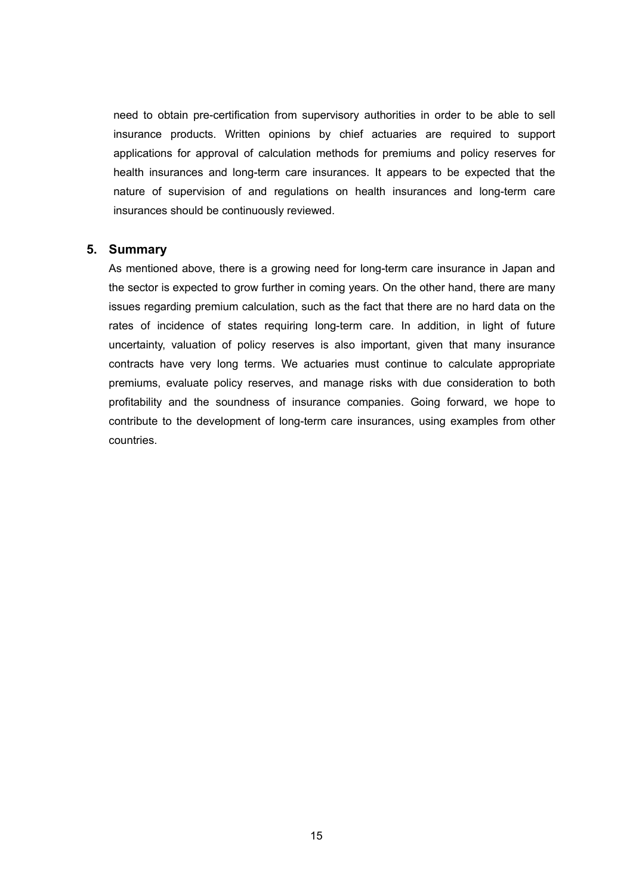need to obtain pre-certification from supervisory authorities in order to be able to sell insurance products. Written opinions by chief actuaries are required to support applications for approval of calculation methods for premiums and policy reserves for health insurances and long-term care insurances. It appears to be expected that the nature of supervision of and regulations on health insurances and long-term care insurances should be continuously reviewed.

### **5. Summary**

As mentioned above, there is a growing need for long-term care insurance in Japan and the sector is expected to grow further in coming years. On the other hand, there are many issues regarding premium calculation, such as the fact that there are no hard data on the rates of incidence of states requiring long-term care. In addition, in light of future uncertainty, valuation of policy reserves is also important, given that many insurance contracts have very long terms. We actuaries must continue to calculate appropriate premiums, evaluate policy reserves, and manage risks with due consideration to both profitability and the soundness of insurance companies. Going forward, we hope to contribute to the development of long-term care insurances, using examples from other countries.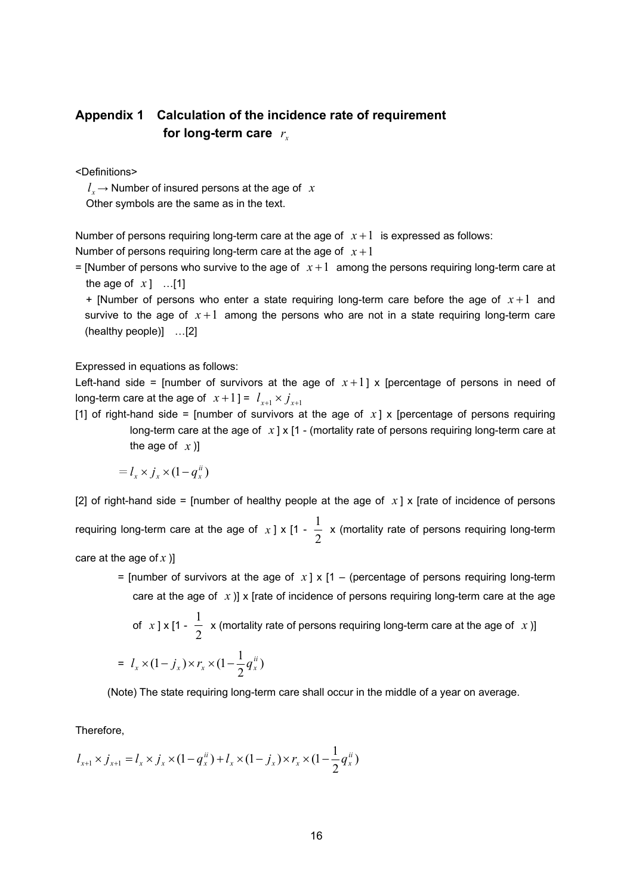# **Appendix 1 Calculation of the incidence rate of requirement for long-term care** *<sup>x</sup> r*

<Definitions>

 $l_{r}$   $\rightarrow$  Number of insured persons at the age of *x* 

Other symbols are the same as in the text.

Number of persons requiring long-term care at the age of  $x+1$  is expressed as follows: Number of persons requiring long-term care at the age of  $x + 1$ 

= [Number of persons who survive to the age of  $x+1$  among the persons requiring long-term care at the age of  $x$ ] ...[1]

 $+$  [Number of persons who enter a state requiring long-term care before the age of  $x+1$  and survive to the age of  $x+1$  among the persons who are not in a state requiring long-term care (healthy people)] …[2]

Expressed in equations as follows:

Left-hand side = [number of survivors at the age of  $x+1$ ] x [percentage of persons in need of long-term care at the age of  $x+1$ ] =  $l_{x+1} \times j_{x+1}$ 

[1] of right-hand side = [number of survivors at the age of  $x$ ] x [percentage of persons requiring long-term care at the age of  $x \mid x \mid 1$  - (mortality rate of persons requiring long-term care at the age of  $x$ )

$$
= l_x \times j_x \times (1 - q_x^{ii})
$$

[2] of right-hand side = [number of healthy people at the age of  $x$ ] x [rate of incidence of persons

requiring long-term care at the age of  $x$  ]  $\times$  [1 -  $\frac{1}{2}$  $\frac{1}{x}$  x (mortality rate of persons requiring long-term

care at the age of *x* )]

= [number of survivors at the age of  $x \mid x$  [1 – (percentage of persons requiring long-term care at the age of  $x$ )] x [rate of incidence of persons requiring long-term care at the age

 $-\frac{1}{2}$ of  $x$  ] x [1 -  $\frac{1}{x}$  x (mortality rate of persons requiring long-term care at the age of x)]

$$
= I_x \times (1 - j_x) \times r_x \times (1 - \frac{1}{2} q_x^{ii})
$$

(Note) The state requiring long-term care shall occur in the middle of a year on average.

Therefore,

$$
l_{x+1} \times j_{x+1} = l_x \times j_x \times (1 - q_x^{ii}) + l_x \times (1 - j_x) \times r_x \times (1 - \frac{1}{2} q_x^{ii})
$$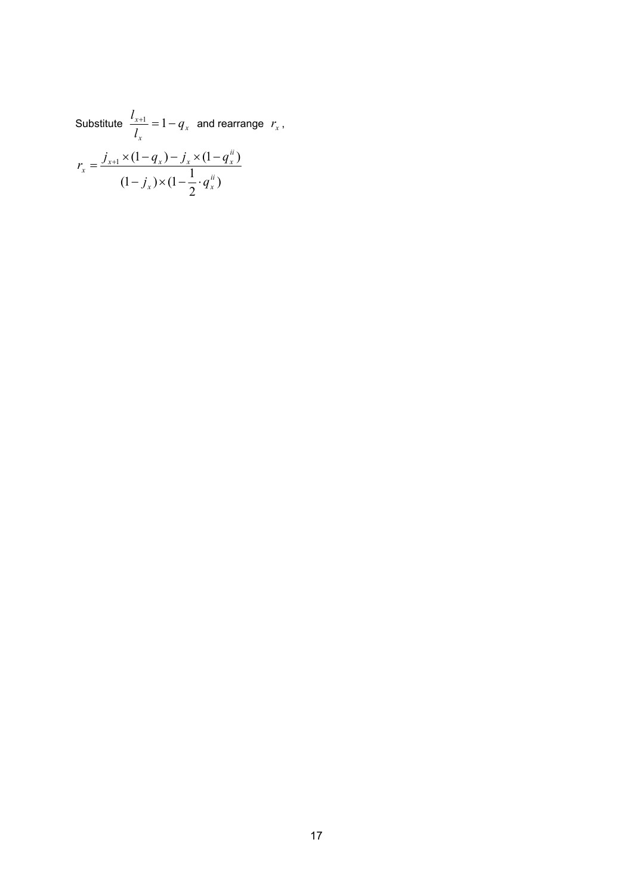Substitute  $\frac{x+1}{1} = 1 - q_x$  $\frac{d_{x+1}}{d_x} = 1 - q_x$  and rearrange  $r_x$ ,  $(1-j_x) \times (1-\frac{1}{2} \cdot q_x^{ii})$  $\lambda_1\times(1-q_x)-j_x\times(1-q_x^{ii})$ *ii*  $\chi$   $\left(\sqrt{1 - x^2 + y^2}\right)$ *ii*  $\frac{d}{dx} = \frac{J_{x+1} \wedge (1 - q_x) - J_x \wedge (1 - q_x)}{1}$  $j_r$ )  $\times$  (1 –  $\frac{1}{2}$  · q  $r_x = \frac{j_{x+1} \times (1 - q_x) - j_x \times (1 - q_x)}{1}$  $-j_{r}$ )  $\times (1-\frac{1}{2})$  $=\frac{j_{x+1}\times(1-q_x)-j_x\times(1-q_x)}{1}$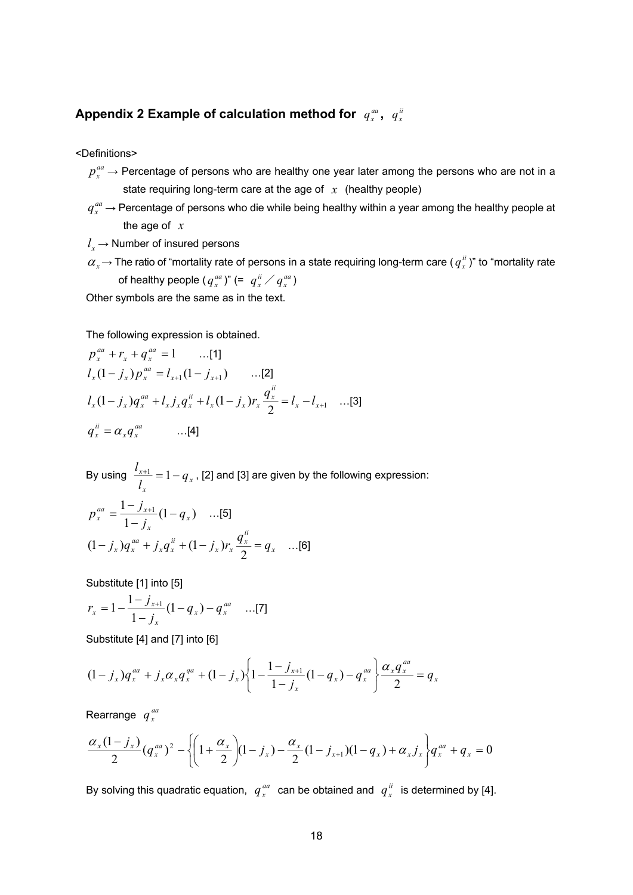## Appendix 2 Example of calculation method for  $\, q_x^{\mu a} , \, \, q_x^{\mu}$

<Definitions>

- $p_{x}^{aa} \rightarrow$  Percentage of persons who are healthy one year later among the persons who are not in a state requiring long-term care at the age of *x* (healthy people)
- $q_{\mathrm{x}}^{aa}$   $\rightarrow$  Percentage of persons who die while being healthy within a year among the healthy people at the age of *x*
- $l_{x} \rightarrow$  Number of insured persons
- $\alpha_x$   $\rightarrow$  The ratio of "mortality rate of persons in a state requiring long-term care (  $q_x^{ii}$  )" to "mortality rate of healthy people (  $q_x^{aa}$  )" (=  $\,$   $\,q_x^{ii}$   $\,$   $\,q_x^{aa}$   $\,$   $\,$

Other symbols are the same as in the text.

The following expression is obtained.

$$
p_x^{aa} + r_x + q_x^{aa} = 1 \qquad \dots [1]
$$
  
\n
$$
l_x (1 - j_x) p_x^{aa} = l_{x+1} (1 - j_{x+1}) \qquad \dots [2]
$$
  
\n
$$
l_x (1 - j_x) q_x^{aa} + l_x j_x q_x^{a} + l_x (1 - j_x) r_x \frac{q_x^{a}}{2} = l_x - l_{x+1} \qquad \dots [3]
$$
  
\n
$$
q_x^{a} = \alpha_x q_x^{aa} \qquad \dots [4]
$$

By using  $\frac{x+1}{1} = 1 - q_x$  $\frac{d_{x+1}}{d_x} = 1 - q_x$  , [2] and [3] are given by the following expression:

$$
p_x^{aa} = \frac{1 - j_{x+1}}{1 - j_x} (1 - q_x) \dots [5]
$$
  

$$
(1 - j_x) q_x^{aa} + j_x q_x^{ii} + (1 - j_x) r_x \frac{q_x^{ii}}{2} = q_x \dots [6]
$$

Substitute [1] into [5]

$$
r_x = 1 - \frac{1 - j_{x+1}}{1 - j_x} (1 - q_x) - q_x^{aa} \dots [7]
$$

Substitute [4] and [7] into [6]

$$
(1-j_x)q_x^{aa} + j_x \alpha_x q_x^{qa} + (1-j_x) \left\{ 1 - \frac{1-j_{x+1}}{1-j_x} (1-q_x) - q_x^{aa} \right\} \frac{\alpha_x q_x^{aa}}{2} = q_x
$$

Rearrange *aa x q*

$$
\frac{\alpha_x(1-j_x)}{2}(q_x^{aa})^2 - \left\{ \left(1+\frac{\alpha_x}{2}\right)(1-j_x) - \frac{\alpha_x}{2}(1-j_{x+1})(1-q_x) + \alpha_x j_x \right\} q_x^{aa} + q_x = 0
$$

By solving this quadratic equation,  $q_x^{aa}$  can be obtained and  $q_x^{ii}$  is determined by [4].